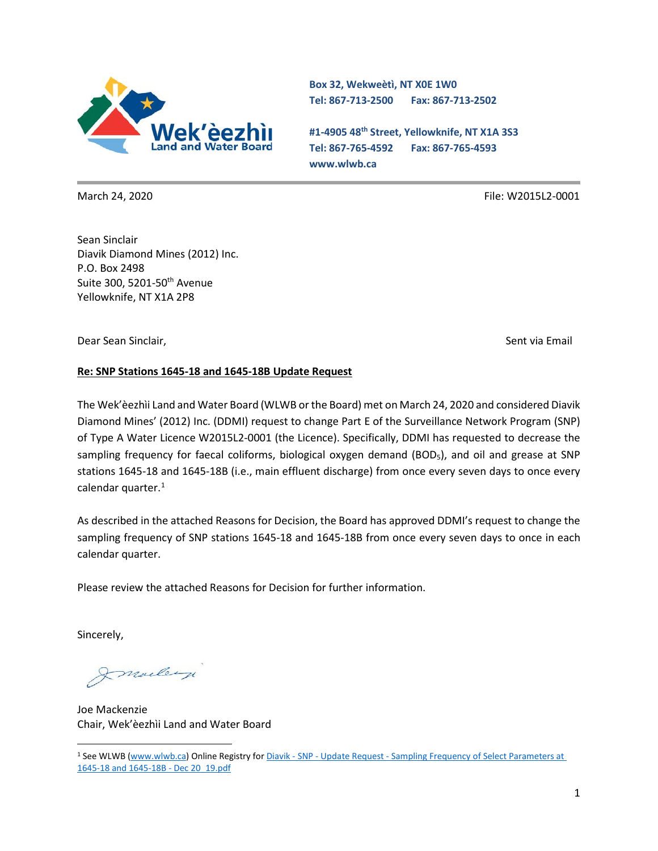

**Box 32, Wekweètì, NT X0E 1W0 Tel: 867-713-2500 Fax: 867-713-2502** 

**#1-4905 48th Street, Yellowknife, NT X1A 3S3 Tel: 867-765-4592 Fax: 867-765-4593 www.wlwb.ca**

March 24, 2020 File: W2015L2-0001

Sean Sinclair Diavik Diamond Mines (2012) Inc. P.O. Box 2498 Suite 300, 5201-50<sup>th</sup> Avenue Yellowknife, NT X1A 2P8

Dear Sean Sinclair, National Sent via Email and Sent via Email and Sent via Email and Sent via Email and Sent via Email and Sent via Email and Sent via Email and Sent via Email and Sent via Email and Sent via Email and Sen

#### **Re: SNP Stations 1645-18 and 1645-18B Update Request**

The Wek'èezhìi Land and Water Board (WLWB or the Board) met on March 24, 2020 and considered Diavik Diamond Mines' (2012) Inc. (DDMI) request to change Part E of the Surveillance Network Program (SNP) of Type A Water Licence W2015L2-0001 (the Licence). Specifically, DDMI has requested to decrease the sampling frequency for faecal coliforms, biological oxygen demand (BOD<sub>5</sub>), and oil and grease at SNP stations 1645-18 and 1645-18B (i.e., main effluent discharge) from once every seven days to once every calendar quarter.<sup>[1](#page-0-0)</sup>

As described in the attached Reasons for Decision, the Board has approved DDMI's request to change the sampling frequency of SNP stations 1645-18 and 1645-18B from once every seven days to once in each calendar quarter.

Please review the attached Reasons for Decision for further information.

Sincerely,

Imalley

Joe Mackenzie Chair, Wek'èezhìi Land and Water Board

<span id="page-0-0"></span><sup>1</sup> See WLWB [\(www.wlwb.ca\)](http://www.wlwb.ca/) Online Registry for Diavik - SNP - Update Request - [Sampling Frequency of Select Parameters at](http://registry.mvlwb.ca/Documents/W2015L2-0001/Diavik%20-%20SNP%20-%20Update%20Request%20-%20Sampling%20Frequency%20of%20Select%20Parameters%20at%201645-18%20and%201645-18B%20-%20Dec%2020_19.pdf)  [1645-18 and 1645-18B -](http://registry.mvlwb.ca/Documents/W2015L2-0001/Diavik%20-%20SNP%20-%20Update%20Request%20-%20Sampling%20Frequency%20of%20Select%20Parameters%20at%201645-18%20and%201645-18B%20-%20Dec%2020_19.pdf) Dec 20\_19.pdf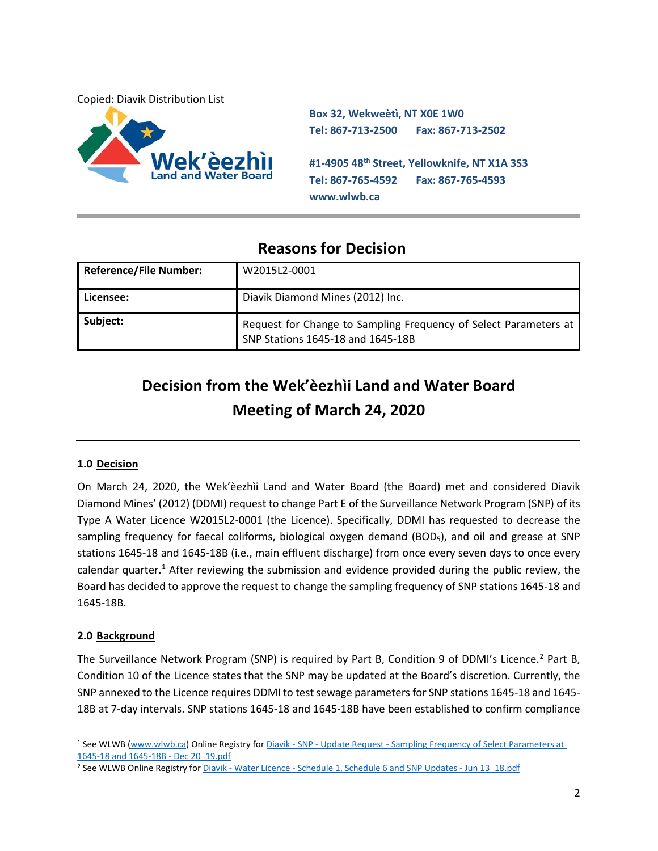Copied: Diavik Distribution List



**Box 32, Wekweètì, NT X0E 1W0 Tel: 867-713-2500 Fax: 867-713-2502 #1-4905 48th Street, Yellowknife, NT X1A 3S3 Tel: 867-765-4592 Fax: 867-765-4593 www.wlwb.ca**

# **Reasons for Decision**

| <b>Reference/File Number:</b> | W2015L2-0001                                                                                          |
|-------------------------------|-------------------------------------------------------------------------------------------------------|
| Licensee:                     | Diavik Diamond Mines (2012) Inc.                                                                      |
| Subject:                      | Request for Change to Sampling Frequency of Select Parameters at<br>SNP Stations 1645-18 and 1645-18B |

# **Decision from the Wek'èezhìi Land and Water Board Meeting of March 24, 2020**

# **1.0 Decision**

On March 24, 2020, the Wek'èezhìi Land and Water Board (the Board) met and considered Diavik Diamond Mines' (2012) (DDMI) request to change Part E of the Surveillance Network Program (SNP) of its Type A Water Licence W2015L2-0001 (the Licence). Specifically, DDMI has requested to decrease the sampling frequency for faecal coliforms, biological oxygen demand (BOD<sub>5</sub>), and oil and grease at SNP stations 1645-18 and 1645-18B (i.e., main effluent discharge) from once every seven days to once every calendar quarter.<sup>[1](#page-1-0)</sup> After reviewing the submission and evidence provided during the public review, the Board has decided to approve the request to change the sampling frequency of SNP stations 1645-18 and 1645-18B.

## **2.0 Background**

The Surveillance Network Program (SNP) is required by Part B, Condition 9 of DDMI's Licence.<sup>2</sup> Part B, Condition 10 of the Licence states that the SNP may be updated at the Board's discretion. Currently, the SNP annexed to the Licence requires DDMI to test sewage parameters for SNP stations 1645-18 and 1645- 18B at 7-day intervals. SNP stations 1645-18 and 1645-18B have been established to confirm compliance

<span id="page-1-0"></span><sup>&</sup>lt;sup>1</sup> See WLWB [\(www.wlwb.ca\)](http://www.wlwb.ca/) Online Registry for Diavik - SNP - Update Request - Sampling Frequency of Select Parameters at [1645-18 and 1645-18B -](http://registry.mvlwb.ca/Documents/W2015L2-0001/Diavik%20-%20SNP%20-%20Update%20Request%20-%20Sampling%20Frequency%20of%20Select%20Parameters%20at%201645-18%20and%201645-18B%20-%20Dec%2020_19.pdf) Dec 20\_19.pdf

<span id="page-1-1"></span><sup>&</sup>lt;sup>2</sup> See WLWB Online Registry for Diavik - Water Licence - [Schedule 1, Schedule 6 and SNP Updates -](http://registry.mvlwb.ca/Documents/W2015L2-0001/Diavik%20-%20Water%20Licence%20-%20Schedule%201,%20Schedule%206%20and%20SNP%20Updates%20-%20Jun%2013_18.pdf) Jun 13\_18.pdf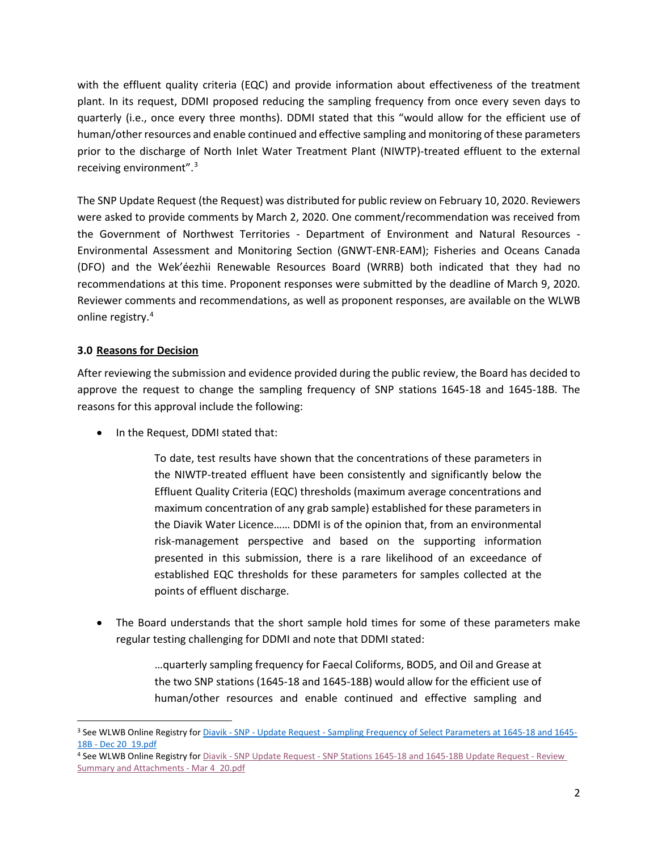with the effluent quality criteria (EQC) and provide information about effectiveness of the treatment plant. In its request, DDMI proposed reducing the sampling frequency from once every seven days to quarterly (i.e., once every three months). DDMI stated that this "would allow for the efficient use of human/other resources and enable continued and effective sampling and monitoring of these parameters prior to the discharge of North Inlet Water Treatment Plant (NIWTP)-treated effluent to the external receiving environment".[3](#page-2-0)

The SNP Update Request (the Request) was distributed for public review on February 10, 2020. Reviewers were asked to provide comments by March 2, 2020. One comment/recommendation was received from the Government of Northwest Territories - Department of Environment and Natural Resources - Environmental Assessment and Monitoring Section (GNWT-ENR-EAM); Fisheries and Oceans Canada (DFO) and the Wek'éezhìi Renewable Resources Board (WRRB) both indicated that they had no recommendations at this time. Proponent responses were submitted by the deadline of March 9, 2020. Reviewer comments and recommendations, as well as proponent responses, are available on the WLWB online registry[.4](#page-2-1)

### **3.0 Reasons for Decision**

After reviewing the submission and evidence provided during the public review, the Board has decided to approve the request to change the sampling frequency of SNP stations 1645-18 and 1645-18B. The reasons for this approval include the following:

• In the Request, DDMI stated that:

To date, test results have shown that the concentrations of these parameters in the NIWTP-treated effluent have been consistently and significantly below the Effluent Quality Criteria (EQC) thresholds (maximum average concentrations and maximum concentration of any grab sample) established for these parameters in the Diavik Water Licence…… DDMI is of the opinion that, from an environmental risk-management perspective and based on the supporting information presented in this submission, there is a rare likelihood of an exceedance of established EQC thresholds for these parameters for samples collected at the points of effluent discharge.

• The Board understands that the short sample hold times for some of these parameters make regular testing challenging for DDMI and note that DDMI stated:

> …quarterly sampling frequency for Faecal Coliforms, BOD5, and Oil and Grease at the two SNP stations (1645-18 and 1645-18B) would allow for the efficient use of human/other resources and enable continued and effective sampling and

<span id="page-2-0"></span><sup>&</sup>lt;sup>3</sup> See WLWB Online Registry for Diavik - SNP - Update Request - [Sampling Frequency of Select Parameters at 1645-18 and 1645-](http://registry.mvlwb.ca/Documents/W2015L2-0001/Diavik%20-%20SNP%20-%20Update%20Request%20-%20Sampling%20Frequency%20of%20Select%20Parameters%20at%201645-18%20and%201645-18B%20-%20Dec%2020_19.pdf) 18B - [Dec 20\\_19.pdf](http://registry.mvlwb.ca/Documents/W2015L2-0001/Diavik%20-%20SNP%20-%20Update%20Request%20-%20Sampling%20Frequency%20of%20Select%20Parameters%20at%201645-18%20and%201645-18B%20-%20Dec%2020_19.pdf)

<span id="page-2-1"></span><sup>4</sup> See WLWB Online Registry for Diavik - SNP Update Request - [SNP Stations 1645-18 and 1645-18B Update Request -](http://registry.mvlwb.ca/Documents/W2015L2-0001/Diavik%20-%20SNP%20Stations%20-%20Update%20Request%20-%201645-18%20and%201645-18B%20-%20Review%20Summary%20and%20Attachments%20-%20Mar%204_20.pdf) Review [Summary and Attachments -](http://registry.mvlwb.ca/Documents/W2015L2-0001/Diavik%20-%20SNP%20Stations%20-%20Update%20Request%20-%201645-18%20and%201645-18B%20-%20Review%20Summary%20and%20Attachments%20-%20Mar%204_20.pdf) Mar 4\_20.pdf